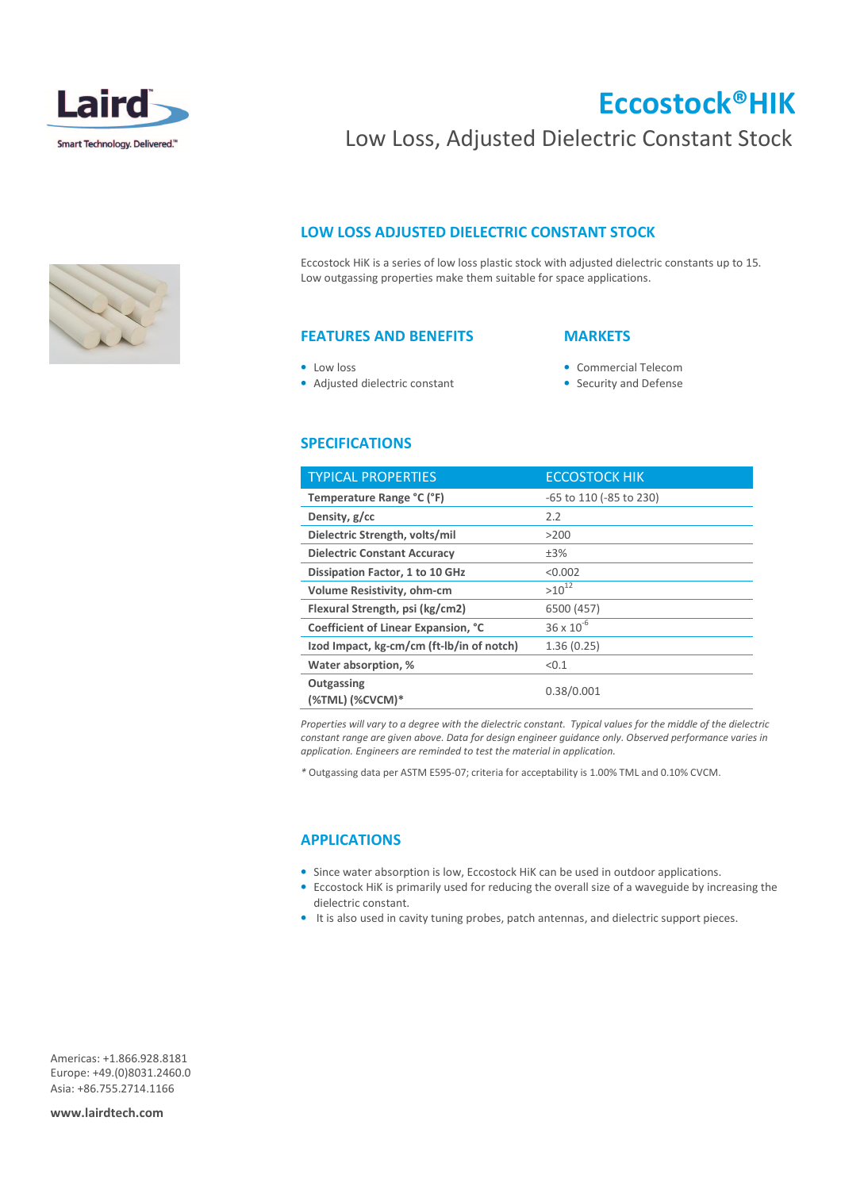

# Eccostock®HIK

# Low Loss, Adjusted Dielectric Constant Stock

# LOW LOSS ADJUSTED DIELECTRIC CONSTANT STOCK

Eccostock HiK is a series of low loss plastic stock with adjusted dielectric constants up to 15. Low outgassing properties make them suitable for space applications.

# FEATURES AND BENEFITS

# **MARKETS**

- Low loss
- Adjusted dielectric constant
- Commercial Telecom
- Security and Defense

# SPECIFICATIONS

| <b>TYPICAL PROPERTIES</b>                 | <b>ECCOSTOCK HIK</b>    |
|-------------------------------------------|-------------------------|
| Temperature Range °C (°F)                 | -65 to 110 (-85 to 230) |
| Density, g/cc                             | 2.2                     |
| Dielectric Strength, volts/mil            | >200                    |
| <b>Dielectric Constant Accuracy</b>       | ±3%                     |
| Dissipation Factor, 1 to 10 GHz           | < 0.002                 |
| Volume Resistivity, ohm-cm                | $>10^{12}$              |
| Flexural Strength, psi (kg/cm2)           | 6500 (457)              |
| Coefficient of Linear Expansion, °C       | $36 \times 10^{-6}$     |
| Izod Impact, kg-cm/cm (ft-Ib/in of notch) | 1.36(0.25)              |
| Water absorption, %                       | < 0.1                   |
| Outgassing<br>(%TML) (%CVCM)*             | 0.38/0.001              |

Properties will vary to a degree with the dielectric constant. Typical values for the middle of the dielectric constant range are given above. Data for design engineer guidance only. Observed performance varies in application. Engineers are reminded to test the material in application.

\* Outgassing data per ASTM E595-07; criteria for acceptability is 1.00% TML and 0.10% CVCM.

### APPLICATIONS

- Since water absorption is low, Eccostock HiK can be used in outdoor applications.
- Eccostock HiK is primarily used for reducing the overall size of a waveguide by increasing the dielectric constant.
- It is also used in cavity tuning probes, patch antennas, and dielectric support pieces.

Americas: +1.866.928.8181 Europe: +49.(0)8031.2460.0 Asia: +86.755.2714.1166

www.lairdtech.com